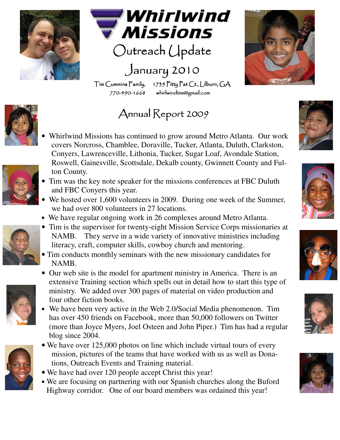



 $Outer$ ch  $U$ pdate

## January 2010

Tim Cummins Family, 1735 Pitty Pat Ct., Lilburn, GA 770-490-1668 whirlwindtim@gmail.com 1668 whirlwindtim@gmail.com whirlwindtim@gmail.com

## Annual Report 2009





- Whirlwind Missions has continued to grow around Metro Atlanta. Our work covers Norcross, Chamblee, Doraville, Tucker, Atlanta, Duluth, Clarkston, Conyers, Lawrenceville, Lithonia, Tucker, Sugar Loaf, Avondale Station, Roswell, Gainesville, Scottsdale, Dekalb county, Gwinnett County and Fulton County.
- Tim was the key note speaker for the missions conferences at FBC Duluth and FBC Conyers this year.
- We hosted over 1,600 volunteers in 2009. During one week of the Summer, we had over 800 volunteers in 27 locations.
- We have regular ongoing work in 26 complexes around Metro Atlanta.



• Tim conducts monthly seminars with the new missionary candidates for NAMB.



- Our web site is the model for apartment ministry in America. There is an extensive Training section which spells out in detail how to start this type of ministry. We added over 300 pages of material on video production and four other fiction books.
- We have been very active in the Web 2.0/Social Media phenomenon. Tim has over 450 friends on Facebook, more than 50,000 followers on Twitter (more than Joyce Myers, Joel Osteen and John Piper.) Tim has had a regular blog since 2004.



- We have over 125,000 photos on line which include virtual tours of every mission, pictures of the teams that have worked with us as well as Donations, Outreach Events and Training material.
- We have had over 120 people accept Christ this year!
- We are focusing on partnering with our Spanish churches along the Buford Highway corridor. One of our board members was ordained this year!